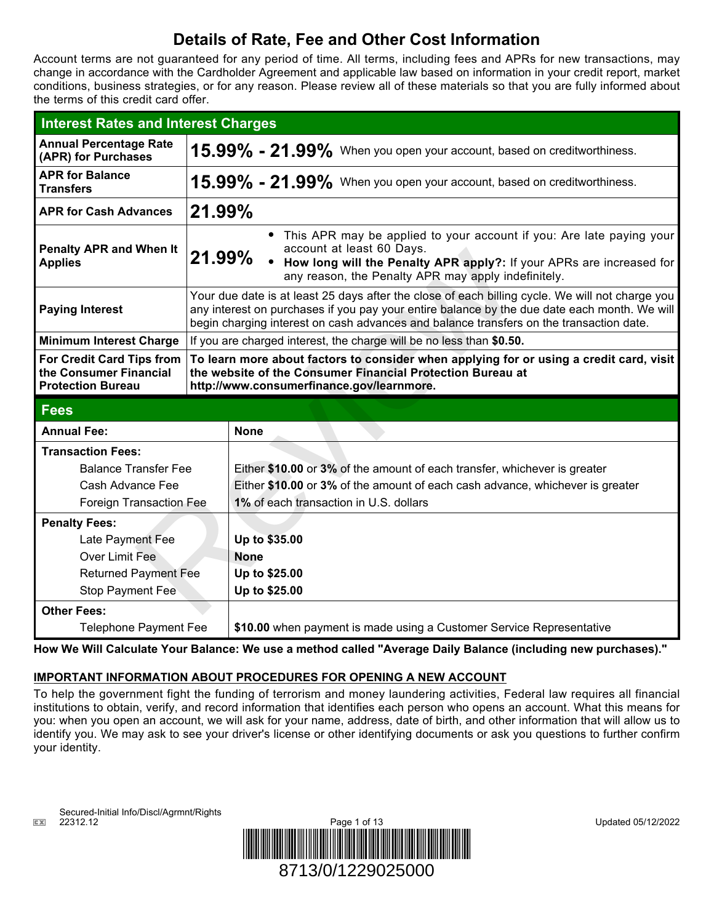## **Details of Rate, Fee and Other Cost Information**

Account terms are not guaranteed for any period of time. All terms, including fees and APRs for new transactions, may change in accordance with the Cardholder Agreement and applicable law based on information in your credit report, market conditions, business strategies, or for any reason. Please review all of these materials so that you are fully informed about the terms of this credit card offer.

| <b>Interest Rates and Interest Charges</b>                                      |                                                                                                                                                                                                                                                                                            |                                                                                                                                                                                                                                      |  |
|---------------------------------------------------------------------------------|--------------------------------------------------------------------------------------------------------------------------------------------------------------------------------------------------------------------------------------------------------------------------------------------|--------------------------------------------------------------------------------------------------------------------------------------------------------------------------------------------------------------------------------------|--|
| <b>Annual Percentage Rate</b><br>(APR) for Purchases                            | $15.99\%$ - $21.99\%$ When you open your account, based on creditworthiness.                                                                                                                                                                                                               |                                                                                                                                                                                                                                      |  |
| <b>APR for Balance</b><br><b>Transfers</b>                                      | $15.99\%$ - $21.99\%$ When you open your account, based on creditworthiness.                                                                                                                                                                                                               |                                                                                                                                                                                                                                      |  |
| <b>APR for Cash Advances</b>                                                    | $21.99\%$                                                                                                                                                                                                                                                                                  |                                                                                                                                                                                                                                      |  |
| <b>Penalty APR and When It</b><br><b>Applies</b>                                | 21.99%                                                                                                                                                                                                                                                                                     | • This APR may be applied to your account if you: Are late paying your<br>account at least 60 Days.<br>• How long will the Penalty APR apply?: If your APRs are increased for<br>any reason, the Penalty APR may apply indefinitely. |  |
| <b>Paying Interest</b>                                                          | Your due date is at least 25 days after the close of each billing cycle. We will not charge you<br>any interest on purchases if you pay your entire balance by the due date each month. We will<br>begin charging interest on cash advances and balance transfers on the transaction date. |                                                                                                                                                                                                                                      |  |
| <b>Minimum Interest Charge</b>                                                  | If you are charged interest, the charge will be no less than \$0.50.                                                                                                                                                                                                                       |                                                                                                                                                                                                                                      |  |
| For Credit Card Tips from<br>the Consumer Financial<br><b>Protection Bureau</b> |                                                                                                                                                                                                                                                                                            | To learn more about factors to consider when applying for or using a credit card, visit<br>the website of the Consumer Financial Protection Bureau at<br>http://www.consumerfinance.gov/learnmore.                                   |  |
| <b>Fees</b>                                                                     |                                                                                                                                                                                                                                                                                            |                                                                                                                                                                                                                                      |  |
| <b>Annual Fee:</b>                                                              |                                                                                                                                                                                                                                                                                            | <b>None</b>                                                                                                                                                                                                                          |  |
| <b>Transaction Fees:</b>                                                        |                                                                                                                                                                                                                                                                                            |                                                                                                                                                                                                                                      |  |
| <b>Balance Transfer Fee</b>                                                     |                                                                                                                                                                                                                                                                                            | Either \$10.00 or 3% of the amount of each transfer, whichever is greater                                                                                                                                                            |  |
| Cash Advance Fee                                                                |                                                                                                                                                                                                                                                                                            | Either \$10.00 or 3% of the amount of each cash advance, whichever is greater                                                                                                                                                        |  |
| <b>Foreign Transaction Fee</b>                                                  |                                                                                                                                                                                                                                                                                            | 1% of each transaction in U.S. dollars                                                                                                                                                                                               |  |
| <b>Penalty Fees:</b>                                                            |                                                                                                                                                                                                                                                                                            |                                                                                                                                                                                                                                      |  |
| Late Payment Fee                                                                |                                                                                                                                                                                                                                                                                            | Up to \$35.00                                                                                                                                                                                                                        |  |
| Over Limit Fee                                                                  |                                                                                                                                                                                                                                                                                            | <b>None</b>                                                                                                                                                                                                                          |  |
| <b>Returned Payment Fee</b>                                                     |                                                                                                                                                                                                                                                                                            | Up to \$25.00                                                                                                                                                                                                                        |  |
| Stop Payment Fee                                                                |                                                                                                                                                                                                                                                                                            | Up to \$25.00                                                                                                                                                                                                                        |  |
| <b>Other Fees:</b>                                                              |                                                                                                                                                                                                                                                                                            |                                                                                                                                                                                                                                      |  |
| <b>Telephone Payment Fee</b>                                                    |                                                                                                                                                                                                                                                                                            | \$10.00 when payment is made using a Customer Service Representative                                                                                                                                                                 |  |

**How We Will Calculate Your Balance: We use a method called "Average Daily Balance (including new purchases)."**

## **IMPORTANT INFORMATION ABOUT PROCEDURES FOR OPENING A NEW ACCOUNT**

To help the government fight the funding of terrorism and money laundering activities, Federal law requires all financial institutions to obtain, verify, and record information that identifies each person who opens an account. What this means for you: when you open an account, we will ask for your name, address, date of birth, and other information that will allow us to identify you. We may ask to see your driver's license or other identifying documents or ask you questions to further confirm your identity.

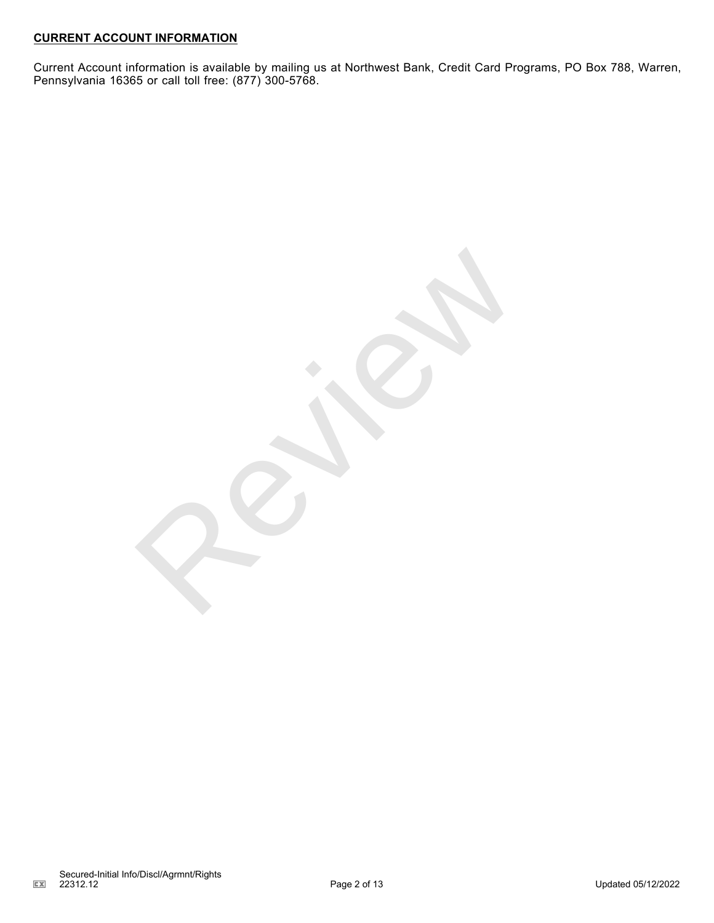## **CURRENT ACCOUNT INFORMATION**

Current Account information is available by mailing us at Northwest Bank, Credit Card Programs, PO Box 788, Warren, Pennsylvania 16365 or call toll free: (877) 300-5768.

Reviews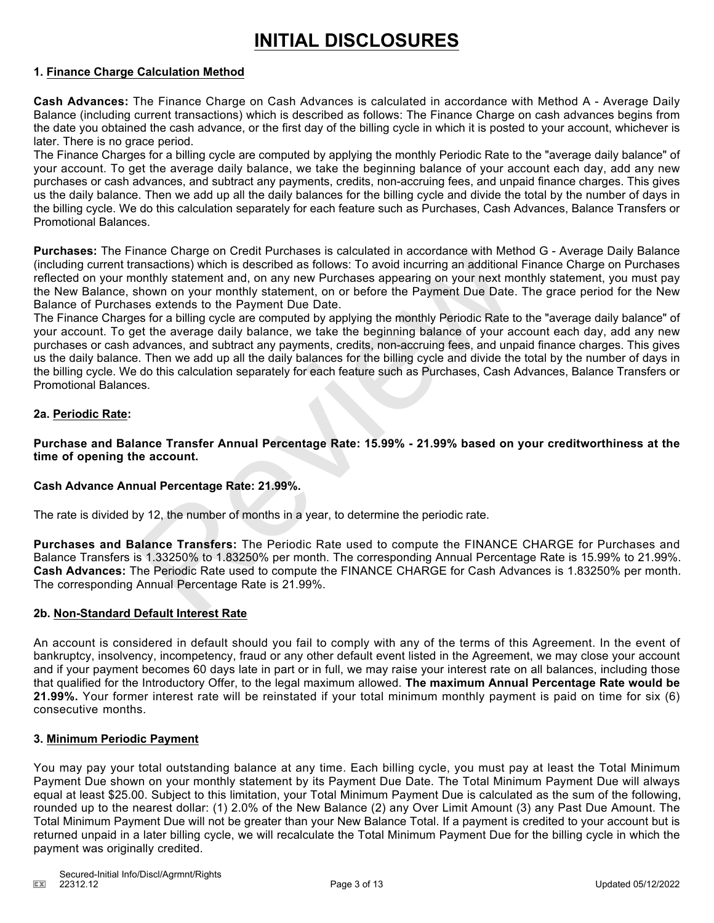# **INITIAL DISCLOSURES**

### **1. Finance Charge Calculation Method**

**Cash Advances:** The Finance Charge on Cash Advances is calculated in accordance with Method A - Average Daily Balance (including current transactions) which is described as follows: The Finance Charge on cash advances begins from the date you obtained the cash advance, or the first day of the billing cycle in which it is posted to your account, whichever is later. There is no grace period.

The Finance Charges for a billing cycle are computed by applying the monthly Periodic Rate to the "average daily balance" of your account. To get the average daily balance, we take the beginning balance of your account each day, add any new purchases or cash advances, and subtract any payments, credits, non-accruing fees, and unpaid finance charges. This gives us the daily balance. Then we add up all the daily balances for the billing cycle and divide the total by the number of days in the billing cycle. We do this calculation separately for each feature such as Purchases, Cash Advances, Balance Transfers or Promotional Balances.

**Purchases:** The Finance Charge on Credit Purchases is calculated in accordance with Method G - Average Daily Balance (including current transactions) which is described as follows: To avoid incurring an additional Finance Charge on Purchases reflected on your monthly statement and, on any new Purchases appearing on your next monthly statement, you must pay the New Balance, shown on your monthly statement, on or before the Payment Due Date. The grace period for the New Balance of Purchases extends to the Payment Due Date.

The Finance Charges for a billing cycle are computed by applying the monthly Periodic Rate to the "average daily balance" of your account. To get the average daily balance, we take the beginning balance of your account each day, add any new purchases or cash advances, and subtract any payments, credits, non-accruing fees, and unpaid finance charges. This gives us the daily balance. Then we add up all the daily balances for the billing cycle and divide the total by the number of days in the billing cycle. We do this calculation separately for each feature such as Purchases, Cash Advances, Balance Transfers or Promotional Balances. mance Charge on Creati Purchases is calculated in accordance with Methemators) which is described as follows: To avoid incurring an additional<br>nonthly statement and, on any new Purchases appearing on your next method<br>nonth

## **2a. Periodic Rate:**

**Purchase and Balance Transfer Annual Percentage Rate: 15.99% - 21.99% based on your creditworthiness at the time of opening the account.**

## **Cash Advance Annual Percentage Rate: 21.99%.**

The rate is divided by 12, the number of months in a year, to determine the periodic rate.

**Purchases and Balance Transfers:** The Periodic Rate used to compute the FINANCE CHARGE for Purchases and Balance Transfers is 1.33250% to 1.83250% per month. The corresponding Annual Percentage Rate is 15.99% to 21.99%. **Cash Advances:** The Periodic Rate used to compute the FINANCE CHARGE for Cash Advances is 1.83250% per month. The corresponding Annual Percentage Rate is 21.99%.

### **2b. Non-Standard Default Interest Rate**

An account is considered in default should you fail to comply with any of the terms of this Agreement. In the event of bankruptcy, insolvency, incompetency, fraud or any other default event listed in the Agreement, we may close your account and if your payment becomes 60 days late in part or in full, we may raise your interest rate on all balances, including those that qualified for the Introductory Offer, to the legal maximum allowed. **The maximum Annual Percentage Rate would be 21.99%.** Your former interest rate will be reinstated if your total minimum monthly payment is paid on time for six (6) consecutive months.

### **3. Minimum Periodic Payment**

You may pay your total outstanding balance at any time. Each billing cycle, you must pay at least the Total Minimum Payment Due shown on your monthly statement by its Payment Due Date. The Total Minimum Payment Due will always equal at least \$25.00. Subject to this limitation, your Total Minimum Payment Due is calculated as the sum of the following, rounded up to the nearest dollar: (1) 2.0% of the New Balance (2) any Over Limit Amount (3) any Past Due Amount. The Total Minimum Payment Due will not be greater than your New Balance Total. If a payment is credited to your account but is returned unpaid in a later billing cycle, we will recalculate the Total Minimum Payment Due for the billing cycle in which the payment was originally credited.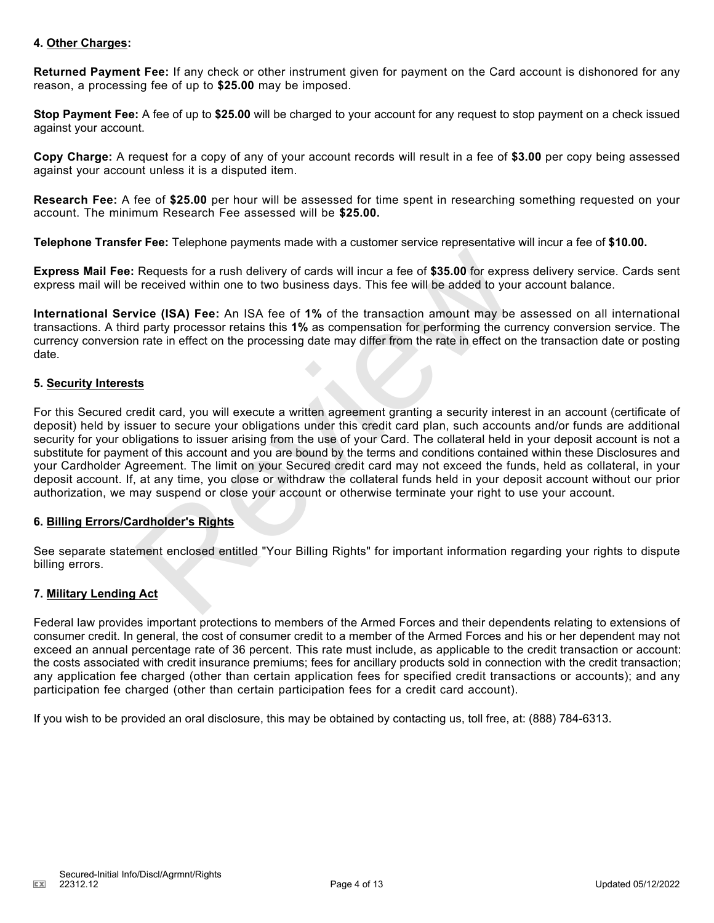### **4. Other Charges:**

**Returned Payment Fee:** If any check or other instrument given for payment on the Card account is dishonored for any reason, a processing fee of up to **\$25.00** may be imposed.

**Stop Payment Fee:** A fee of up to **\$25.00** will be charged to your account for any request to stop payment on a check issued against your account.

**Copy Charge:** A request for a copy of any of your account records will result in a fee of **\$3.00** per copy being assessed against your account unless it is a disputed item.

**Research Fee:** A fee of **\$25.00** per hour will be assessed for time spent in researching something requested on your account. The minimum Research Fee assessed will be **\$25.00.**

**Telephone Transfer Fee:** Telephone payments made with a customer service representative will incur a fee of **\$10.00.**

**Express Mail Fee:** Requests for a rush delivery of cards will incur a fee of **\$35.00** for express delivery service. Cards sent express mail will be received within one to two business days. This fee will be added to your account balance.

**International Service (ISA) Fee:** An ISA fee of **1%** of the transaction amount may be assessed on all international transactions. A third party processor retains this **1%** as compensation for performing the currency conversion service. The currency conversion rate in effect on the processing date may differ from the rate in effect on the transaction date or posting date.

### **5. Security Interests**

For this Secured credit card, you will execute a written agreement granting a security interest in an account (certificate of deposit) held by issuer to secure your obligations under this credit card plan, such accounts and/or funds are additional security for your obligations to issuer arising from the use of your Card. The collateral held in your deposit account is not a substitute for payment of this account and you are bound by the terms and conditions contained within these Disclosures and your Cardholder Agreement. The limit on your Secured credit card may not exceed the funds, held as collateral, in your deposit account. If, at any time, you close or withdraw the collateral funds held in your deposit account without our prior authorization, we may suspend or close your account or otherwise terminate your right to use your account. Requests for a rush delivery of cards will incur a fee of \$35.00 for expresence expredent within one to two business days. This fee will be added to you<br>
vice (ISA) Fee: An ISA fee of 1% of the transaction amount may be<br>
d

### **6. Billing Errors/Cardholder's Rights**

See separate statement enclosed entitled "Your Billing Rights" for important information regarding your rights to dispute billing errors.

## **7. Military Lending Act**

Federal law provides important protections to members of the Armed Forces and their dependents relating to extensions of consumer credit. In general, the cost of consumer credit to a member of the Armed Forces and his or her dependent may not exceed an annual percentage rate of 36 percent. This rate must include, as applicable to the credit transaction or account: the costs associated with credit insurance premiums; fees for ancillary products sold in connection with the credit transaction; any application fee charged (other than certain application fees for specified credit transactions or accounts); and any participation fee charged (other than certain participation fees for a credit card account).

If you wish to be provided an oral disclosure, this may be obtained by contacting us, toll free, at: (888) 784-6313.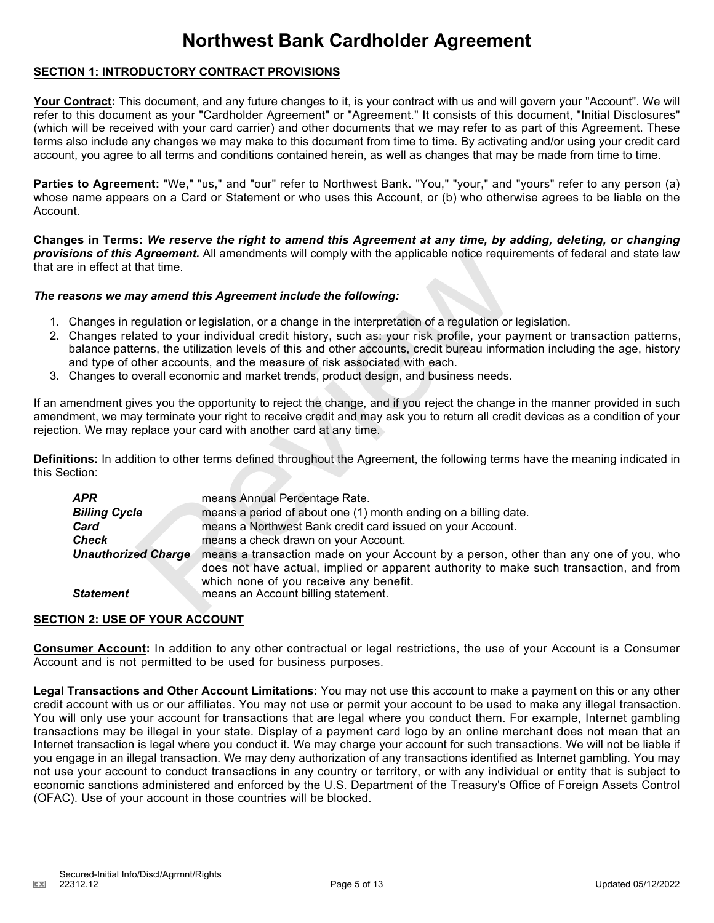## **Northwest Bank Cardholder Agreement**

## **SECTION 1: INTRODUCTORY CONTRACT PROVISIONS**

**Your Contract:** This document, and any future changes to it, is your contract with us and will govern your "Account". We will refer to this document as your "Cardholder Agreement" or "Agreement." It consists of this document, "Initial Disclosures" (which will be received with your card carrier) and other documents that we may refer to as part of this Agreement. These terms also include any changes we may make to this document from time to time. By activating and/or using your credit card account, you agree to all terms and conditions contained herein, as well as changes that may be made from time to time.

**Parties to Agreement:** "We," "us," and "our" refer to Northwest Bank. "You," "your," and "yours" refer to any person (a) whose name appears on a Card or Statement or who uses this Account, or (b) who otherwise agrees to be liable on the Account.

**Changes in Terms:** *We reserve the right to amend this Agreement at any time, by adding, deleting, or changing provisions of this Agreement.* All amendments will comply with the applicable notice requirements of federal and state law that are in effect at that time.

### *The reasons we may amend this Agreement include the following:*

- 1. Changes in regulation or legislation, or a change in the interpretation of a regulation or legislation.
- 2. Changes related to your individual credit history, such as: your risk profile, your payment or transaction patterns, balance patterns, the utilization levels of this and other accounts, credit bureau information including the age, history and type of other accounts, and the measure of risk associated with each.
- 3. Changes to overall economic and market trends, product design, and business needs.

If an amendment gives you the opportunity to reject the change, and if you reject the change in the manner provided in such amendment, we may terminate your right to receive credit and may ask you to return all credit devices as a condition of your rejection. We may replace your card with another card at any time.

**Definitions:** In addition to other terms defined throughout the Agreement, the following terms have the meaning indicated in this Section:

| in effect at that time.                                                                                                                                                                                                                                                                                                                                                                                                                                                                                                         | <b>ons of this Agreement.</b> All amendments will comply with the applicable notice requirements of federal and state law                                                                                                                                                                                     |  |  |
|---------------------------------------------------------------------------------------------------------------------------------------------------------------------------------------------------------------------------------------------------------------------------------------------------------------------------------------------------------------------------------------------------------------------------------------------------------------------------------------------------------------------------------|---------------------------------------------------------------------------------------------------------------------------------------------------------------------------------------------------------------------------------------------------------------------------------------------------------------|--|--|
|                                                                                                                                                                                                                                                                                                                                                                                                                                                                                                                                 | sons we may amend this Agreement include the following:                                                                                                                                                                                                                                                       |  |  |
| Changes in regulation or legislation, or a change in the interpretation of a regulation or legislation.<br>Changes related to your individual credit history, such as: your risk profile, your payment or transaction patterns,<br>palance patterns, the utilization levels of this and other accounts, credit bureau information including the age, history<br>and type of other accounts, and the measure of risk associated with each.<br>Changes to overall economic and market trends, product design, and business needs. |                                                                                                                                                                                                                                                                                                               |  |  |
|                                                                                                                                                                                                                                                                                                                                                                                                                                                                                                                                 | nendment gives you the opportunity to reject the change, and if you reject the change in the manner provided in such<br>nent, we may terminate your right to receive credit and may ask you to return all credit devices as a condition of your<br>n. We may replace your card with another card at any time. |  |  |
| :tion:                                                                                                                                                                                                                                                                                                                                                                                                                                                                                                                          | ions: In addition to other terms defined throughout the Agreement, the following terms have the meaning indicated in                                                                                                                                                                                          |  |  |
| APR                                                                                                                                                                                                                                                                                                                                                                                                                                                                                                                             | means Annual Percentage Rate.                                                                                                                                                                                                                                                                                 |  |  |
| <b>Billing Cycle</b>                                                                                                                                                                                                                                                                                                                                                                                                                                                                                                            | means a period of about one (1) month ending on a billing date.                                                                                                                                                                                                                                               |  |  |
| Card                                                                                                                                                                                                                                                                                                                                                                                                                                                                                                                            | means a Northwest Bank credit card issued on your Account.                                                                                                                                                                                                                                                    |  |  |
| <b>Check</b>                                                                                                                                                                                                                                                                                                                                                                                                                                                                                                                    | means a check drawn on your Account.                                                                                                                                                                                                                                                                          |  |  |
| <b>Unauthorized Charge</b>                                                                                                                                                                                                                                                                                                                                                                                                                                                                                                      | means a transaction made on your Account by a person, other than any one of you, who<br>does not have actual, implied or apparent authority to make such transaction, and from<br>which none of you receive any benefit.                                                                                      |  |  |
| <b>Statement</b>                                                                                                                                                                                                                                                                                                                                                                                                                                                                                                                | means an Account billing statement.                                                                                                                                                                                                                                                                           |  |  |

## **SECTION 2: USE OF YOUR ACCOUNT**

**Consumer Account:** In addition to any other contractual or legal restrictions, the use of your Account is a Consumer Account and is not permitted to be used for business purposes.

**Legal Transactions and Other Account Limitations:** You may not use this account to make a payment on this or any other credit account with us or our affiliates. You may not use or permit your account to be used to make any illegal transaction. You will only use your account for transactions that are legal where you conduct them. For example, Internet gambling transactions may be illegal in your state. Display of a payment card logo by an online merchant does not mean that an Internet transaction is legal where you conduct it. We may charge your account for such transactions. We will not be liable if you engage in an illegal transaction. We may deny authorization of any transactions identified as Internet gambling. You may not use your account to conduct transactions in any country or territory, or with any individual or entity that is subject to economic sanctions administered and enforced by the U.S. Department of the Treasury's Office of Foreign Assets Control (OFAC). Use of your account in those countries will be blocked.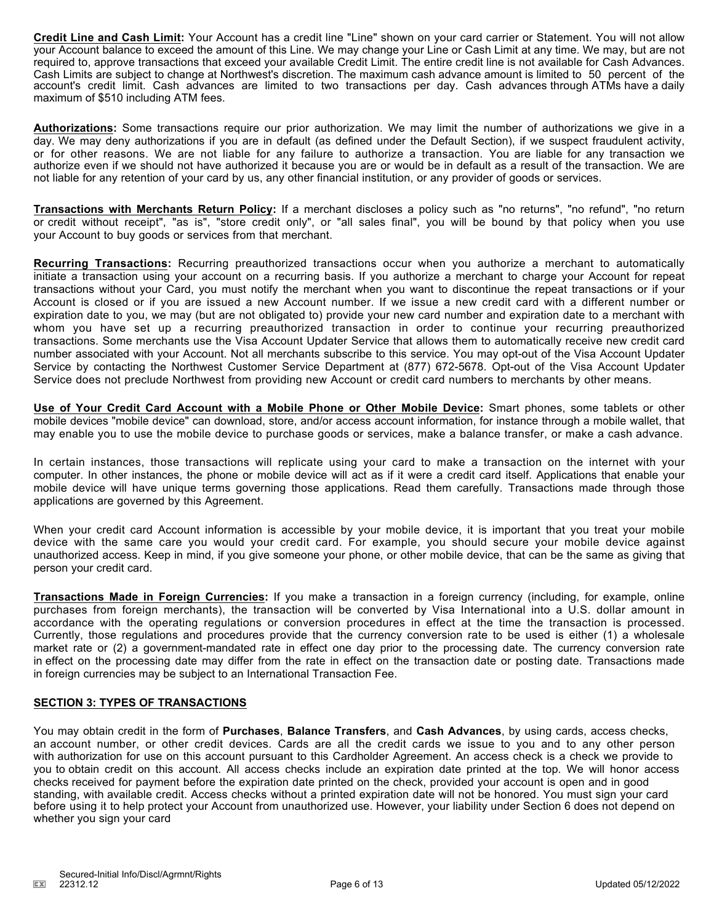**Credit Line and Cash Limit:** Your Account has a credit line "Line" shown on your card carrier or Statement. You will not allow your Account balance to exceed the amount of this Line. We may change your Line or Cash Limit at any time. We may, but are not required to, approve transactions that exceed your available Credit Limit. The entire credit line is not available for Cash Advances. Cash Limits are subject to change at Northwest's discretion. The maximum cash advance amount is limited to 50 percent of the account's credit limit. Cash advances are limited to two transactions per day. Cash advances through ATMs have a daily maximum of \$510 including ATM fees.

**Authorizations:** Some transactions require our prior authorization. We may limit the number of authorizations we give in a day. We may deny authorizations if you are in default (as defined under the Default Section), if we suspect fraudulent activity, or for other reasons. We are not liable for any failure to authorize a transaction. You are liable for any transaction we authorize even if we should not have authorized it because you are or would be in default as a result of the transaction. We are not liable for any retention of your card by us, any other financial institution, or any provider of goods or services.

**Transactions with Merchants Return Policy:** If a merchant discloses a policy such as "no returns", "no refund", "no return or credit without receipt", "as is", "store credit only", or "all sales final", you will be bound by that policy when you use your Account to buy goods or services from that merchant.

**Recurring Transactions:** Recurring preauthorized transactions occur when you authorize a merchant to automatically initiate a transaction using your account on a recurring basis. If you authorize a merchant to charge your Account for repeat transactions without your Card, you must notify the merchant when you want to discontinue the repeat transactions or if your Account is closed or if you are issued a new Account number. If we issue a new credit card with a different number or expiration date to you, we may (but are not obligated to) provide your new card number and expiration date to a merchant with whom you have set up a recurring preauthorized transaction in order to continue your recurring preauthorized transactions. Some merchants use the Visa Account Updater Service that allows them to automatically receive new credit card number associated with your Account. Not all merchants subscribe to this service. You may opt-out of the Visa Account Updater Service by contacting the Northwest Customer Service Department at (877) 672-5678. Opt-out of the Visa Account Updater Service does not preclude Northwest from providing new Account or credit card numbers to merchants by other means.

**Use of Your Credit Card Account with a Mobile Phone or Other Mobile Device:** Smart phones, some tablets or other mobile devices "mobile device" can download, store, and/or access account information, for instance through a mobile wallet, that may enable you to use the mobile device to purchase goods or services, make a balance transfer, or make a cash advance.

In certain instances, those transactions will replicate using your card to make a transaction on the internet with your computer. In other instances, the phone or mobile device will act as if it were a credit card itself. Applications that enable your mobile device will have unique terms governing those applications. Read them carefully. Transactions made through those applications are governed by this Agreement.

When your credit card Account information is accessible by your mobile device, it is important that you treat your mobile device with the same care you would your credit card. For example, you should secure your mobile device against unauthorized access. Keep in mind, if you give someone your phone, or other mobile device, that can be the same as giving that person your credit card.

**Transactions Made in Foreign Currencies:** If you make a transaction in a foreign currency (including, for example, online purchases from foreign merchants), the transaction will be converted by Visa International into a U.S. dollar amount in accordance with the operating regulations or conversion procedures in effect at the time the transaction is processed. Currently, those regulations and procedures provide that the currency conversion rate to be used is either (1) a wholesale market rate or (2) a government-mandated rate in effect one day prior to the processing date. The currency conversion rate in effect on the processing date may differ from the rate in effect on the transaction date or posting date. Transactions made in foreign currencies may be subject to an International Transaction Fee.

### **SECTION 3: TYPES OF TRANSACTIONS**

You may obtain credit in the form of **Purchases**, **Balance Transfers**, and **Cash Advances**, by using cards, access checks, an account number, or other credit devices. Cards are all the credit cards we issue to you and to any other person with authorization for use on this account pursuant to this Cardholder Agreement. An access check is a check we provide to you to obtain credit on this account. All access checks include an expiration date printed at the top. We will honor access checks received for payment before the expiration date printed on the check, provided your account is open and in good standing, with available credit. Access checks without a printed expiration date will not be honored. You must sign your card before using it to help protect your Account from unauthorized use. However, your liability under Section 6 does not depend on whether you sign your card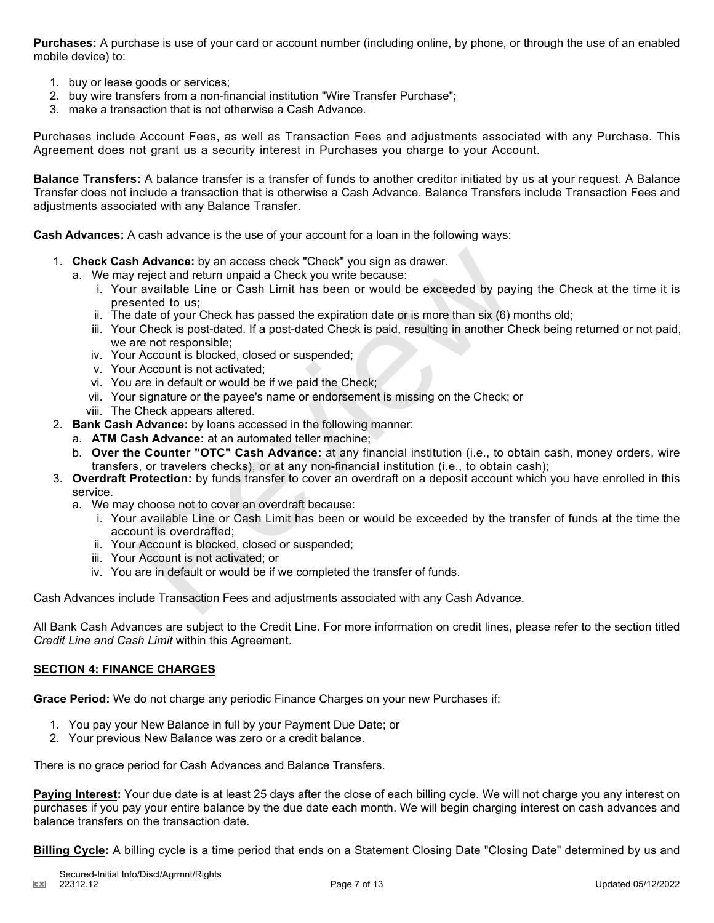**Purchases:** A purchase is use of your card or account number (including online, by phone, or through the use of an enabled mobile device) to:

- 1. buy or lease goods or services;
- 2. buy wire transfers from a non-financial institution "Wire Transfer Purchase";
- 3. make a transaction that is not otherwise a Cash Advance.

Purchases include Account Fees, as well as Transaction Fees and adjustments associated with any Purchase. This Agreement does not grant us a security interest in Purchases you charge to your Account.

**Balance Transfers:** A balance transfer is a transfer of funds to another creditor initiated by us at your request. A Balance Transfer does not include a transaction that is otherwise a Cash Advance. Balance Transfers include Transaction Fees and adjustments associated with any Balance Transfer.

**Cash Advances:** A cash advance is the use of your account for a loan in the following ways:

- 1. **Check Cash Advance:** by an access check "Check" you sign as drawer.
	- a. We may reject and return unpaid a Check you write because:
- i. Your available Line or Cash Limit has been or would be exceeded by paying the Check at the time it is presented to us; **h Advance:** by an access check "Check" you sign as drawer.<br> *r* reject and return unpaid a Check you write because:<br> *r* available Line or Cash Limit has been or would be exceeded by pay<br>
sented to us;<br>
date of your Check
	- ii. The date of your Check has passed the expiration date or is more than six (6) months old;
	- iii. Your Check is post-dated. If a post-dated Check is paid, resulting in another Check being returned or not paid, we are not responsible;
	- iv. Your Account is blocked, closed or suspended;
	- v. Your Account is not activated;
	- vi. You are in default or would be if we paid the Check;
	- vii. Your signature or the payee's name or endorsement is missing on the Check; or
	- viii. The Check appears altered.
- 2. **Bank Cash Advance:** by loans accessed in the following manner:
	- a. **ATM Cash Advance:** at an automated teller machine;
	- b. **Over the Counter "OTC" Cash Advance:** at any financial institution (i.e., to obtain cash, money orders, wire transfers, or travelers checks), or at any non-financial institution (i.e., to obtain cash);
- 3. **Overdraft Protection:** by funds transfer to cover an overdraft on a deposit account which you have enrolled in this service.
	- a. We may choose not to cover an overdraft because:
		- i. Your available Line or Cash Limit has been or would be exceeded by the transfer of funds at the time the account is overdrafted;
		- ii. Your Account is blocked, closed or suspended;
		- iii. Your Account is not activated; or
		- iv. You are in default or would be if we completed the transfer of funds.

Cash Advances include Transaction Fees and adjustments associated with any Cash Advance.

All Bank Cash Advances are subject to the Credit Line. For more information on credit lines, please refer to the section titled *Credit Line and Cash Limit* within this Agreement.

## **SECTION 4: FINANCE CHARGES**

**Grace Period:** We do not charge any periodic Finance Charges on your new Purchases if:

- 1. You pay your New Balance in full by your Payment Due Date; or
- 2. Your previous New Balance was zero or a credit balance.

There is no grace period for Cash Advances and Balance Transfers.

**Paying Interest:** Your due date is at least 25 days after the close of each billing cycle. We will not charge you any interest on purchases if you pay your entire balance by the due date each month. We will begin charging interest on cash advances and balance transfers on the transaction date.

**Billing Cycle:** A billing cycle is a time period that ends on a Statement Closing Date "Closing Date" determined by us and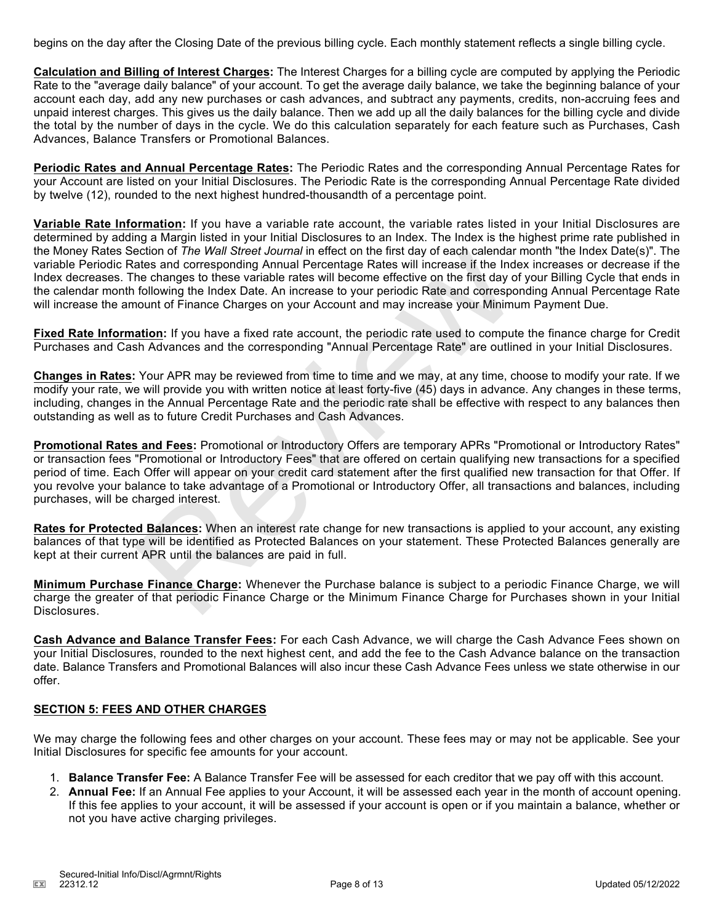begins on the day after the Closing Date of the previous billing cycle. Each monthly statement reflects a single billing cycle.

**Calculation and Billing of Interest Charges:** The Interest Charges for a billing cycle are computed by applying the Periodic Rate to the "average daily balance" of your account. To get the average daily balance, we take the beginning balance of your account each day, add any new purchases or cash advances, and subtract any payments, credits, non-accruing fees and unpaid interest charges. This gives us the daily balance. Then we add up all the daily balances for the billing cycle and divide the total by the number of days in the cycle. We do this calculation separately for each feature such as Purchases, Cash Advances, Balance Transfers or Promotional Balances.

**Periodic Rates and Annual Percentage Rates:** The Periodic Rates and the corresponding Annual Percentage Rates for your Account are listed on your Initial Disclosures. The Periodic Rate is the corresponding Annual Percentage Rate divided by twelve (12), rounded to the next highest hundred-thousandth of a percentage point.

**Variable Rate Information:** If you have a variable rate account, the variable rates listed in your Initial Disclosures are determined by adding a Margin listed in your Initial Disclosures to an Index. The Index is the highest prime rate published in the Money Rates Section of *The Wall Street Journal* in effect on the first day of each calendar month "the Index Date(s)". The variable Periodic Rates and corresponding Annual Percentage Rates will increase if the Index increases or decrease if the Index decreases. The changes to these variable rates will become effective on the first day of your Billing Cycle that ends in the calendar month following the Index Date. An increase to your periodic Rate and corresponding Annual Percentage Rate will increase the amount of Finance Charges on your Account and may increase your Minimum Payment Due.

**Fixed Rate Information:** If you have a fixed rate account, the periodic rate used to compute the finance charge for Credit Purchases and Cash Advances and the corresponding "Annual Percentage Rate" are outlined in your Initial Disclosures.

**Changes in Rates:** Your APR may be reviewed from time to time and we may, at any time, choose to modify your rate. If we modify your rate, we will provide you with written notice at least forty-five (45) days in advance. Any changes in these terms, including, changes in the Annual Percentage Rate and the periodic rate shall be effective with respect to any balances then outstanding as well as to future Credit Purchases and Cash Advances.

**Promotional Rates and Fees:** Promotional or Introductory Offers are temporary APRs "Promotional or Introductory Rates" or transaction fees "Promotional or Introductory Fees" that are offered on certain qualifying new transactions for a specified period of time. Each Offer will appear on your credit card statement after the first qualified new transaction for that Offer. If you revolve your balance to take advantage of a Promotional or Introductory Offer, all transactions and balances, including purchases, will be charged interest. ection or *I ne wall street Journal in* effect on the first day of each calendar<br>atates and corresponding Annual Percentage Rates will increase if the Ind<br>he changes to these variable rates will become effective on the fir

**Rates for Protected Balances:** When an interest rate change for new transactions is applied to your account, any existing balances of that type will be identified as Protected Balances on your statement. These Protected Balances generally are kept at their current APR until the balances are paid in full.

**Minimum Purchase Finance Charge:** Whenever the Purchase balance is subject to a periodic Finance Charge, we will charge the greater of that periodic Finance Charge or the Minimum Finance Charge for Purchases shown in your Initial Disclosures.

**Cash Advance and Balance Transfer Fees:** For each Cash Advance, we will charge the Cash Advance Fees shown on your Initial Disclosures, rounded to the next highest cent, and add the fee to the Cash Advance balance on the transaction date. Balance Transfers and Promotional Balances will also incur these Cash Advance Fees unless we state otherwise in our offer.

## **SECTION 5: FEES AND OTHER CHARGES**

We may charge the following fees and other charges on your account. These fees may or may not be applicable. See your Initial Disclosures for specific fee amounts for your account.

- 1. **Balance Transfer Fee:** A Balance Transfer Fee will be assessed for each creditor that we pay off with this account.
- 2. **Annual Fee:** If an Annual Fee applies to your Account, it will be assessed each year in the month of account opening. If this fee applies to your account, it will be assessed if your account is open or if you maintain a balance, whether or not you have active charging privileges.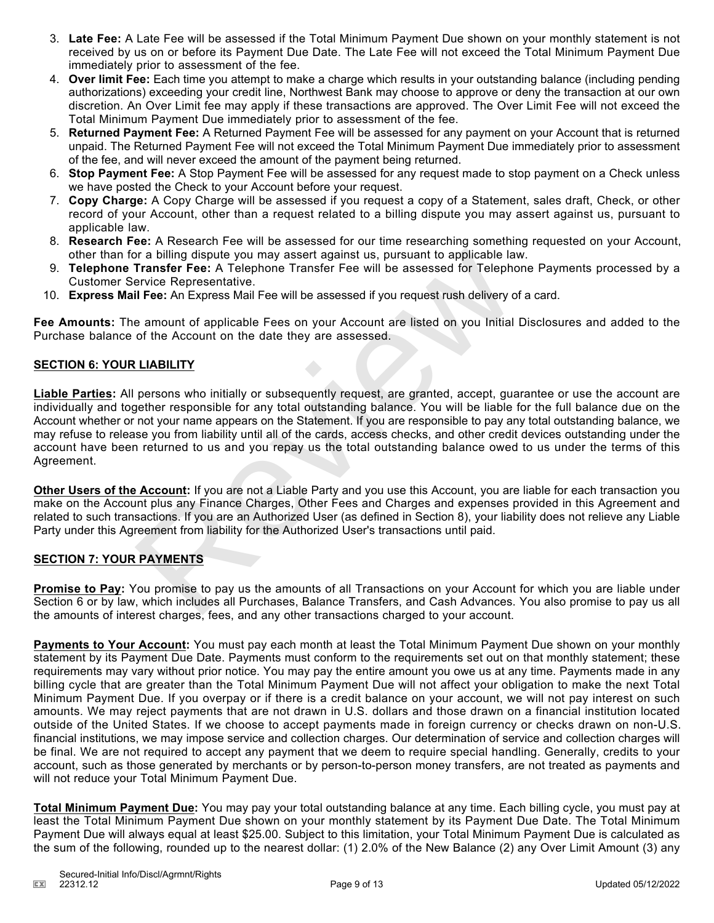- 3. **Late Fee:** A Late Fee will be assessed if the Total Minimum Payment Due shown on your monthly statement is not received by us on or before its Payment Due Date. The Late Fee will not exceed the Total Minimum Payment Due immediately prior to assessment of the fee.
- 4. **Over limit Fee:** Each time you attempt to make a charge which results in your outstanding balance (including pending authorizations) exceeding your credit line, Northwest Bank may choose to approve or deny the transaction at our own discretion. An Over Limit fee may apply if these transactions are approved. The Over Limit Fee will not exceed the Total Minimum Payment Due immediately prior to assessment of the fee.
- 5. **Returned Payment Fee:** A Returned Payment Fee will be assessed for any payment on your Account that is returned unpaid. The Returned Payment Fee will not exceed the Total Minimum Payment Due immediately prior to assessment of the fee, and will never exceed the amount of the payment being returned.
- 6. **Stop Payment Fee:** A Stop Payment Fee will be assessed for any request made to stop payment on a Check unless we have posted the Check to your Account before your request.
- 7. **Copy Charge:** A Copy Charge will be assessed if you request a copy of a Statement, sales draft, Check, or other record of your Account, other than a request related to a billing dispute you may assert against us, pursuant to applicable law.
- 8. **Research Fee:** A Research Fee will be assessed for our time researching something requested on your Account, other than for a billing dispute you may assert against us, pursuant to applicable law.
- 9. **Telephone Transfer Fee:** A Telephone Transfer Fee will be assessed for Telephone Payments processed by a Customer Service Representative.
- 10. **Express Mail Fee:** An Express Mail Fee will be assessed if you request rush delivery of a card.

**Fee Amounts:** The amount of applicable Fees on your Account are listed on you Initial Disclosures and added to the Purchase balance of the Account on the date they are assessed.

## **SECTION 6: YOUR LIABILITY**

**Liable Parties:** All persons who initially or subsequently request, are granted, accept, guarantee or use the account are individually and together responsible for any total outstanding balance. You will be liable for the full balance due on the Account whether or not your name appears on the Statement. If you are responsible to pay any total outstanding balance, we may refuse to release you from liability until all of the cards, access checks, and other credit devices outstanding under the account have been returned to us and you repay us the total outstanding balance owed to us under the terms of this Agreement. or a billing dispute you may assert against us, pursuant to applicable la<br>
Transfer Fee: A Telephone Transfer Fee will be assessed for Telephone<br>
Fransfer Fee: A Telephone Transfer Fee will be assessed for Telephone<br>
Frevi

**Other Users of the Account:** If you are not a Liable Party and you use this Account, you are liable for each transaction you make on the Account plus any Finance Charges, Other Fees and Charges and expenses provided in this Agreement and related to such transactions. If you are an Authorized User (as defined in Section 8), your liability does not relieve any Liable Party under this Agreement from liability for the Authorized User's transactions until paid.

## **SECTION 7: YOUR PAYMENTS**

**Promise to Pay:** You promise to pay us the amounts of all Transactions on your Account for which you are liable under Section 6 or by law, which includes all Purchases, Balance Transfers, and Cash Advances. You also promise to pay us all the amounts of interest charges, fees, and any other transactions charged to your account.

**Payments to Your Account:** You must pay each month at least the Total Minimum Payment Due shown on your monthly statement by its Payment Due Date. Payments must conform to the requirements set out on that monthly statement; these requirements may vary without prior notice. You may pay the entire amount you owe us at any time. Payments made in any billing cycle that are greater than the Total Minimum Payment Due will not affect your obligation to make the next Total Minimum Payment Due. If you overpay or if there is a credit balance on your account, we will not pay interest on such amounts. We may reject payments that are not drawn in U.S. dollars and those drawn on a financial institution located outside of the United States. If we choose to accept payments made in foreign currency or checks drawn on non-U.S. financial institutions, we may impose service and collection charges. Our determination of service and collection charges will be final. We are not required to accept any payment that we deem to require special handling. Generally, credits to your account, such as those generated by merchants or by person-to-person money transfers, are not treated as payments and will not reduce your Total Minimum Payment Due.

**Total Minimum Payment Due:** You may pay your total outstanding balance at any time. Each billing cycle, you must pay at least the Total Minimum Payment Due shown on your monthly statement by its Payment Due Date. The Total Minimum Payment Due will always equal at least \$25.00. Subject to this limitation, your Total Minimum Payment Due is calculated as the sum of the following, rounded up to the nearest dollar: (1) 2.0% of the New Balance (2) any Over Limit Amount (3) any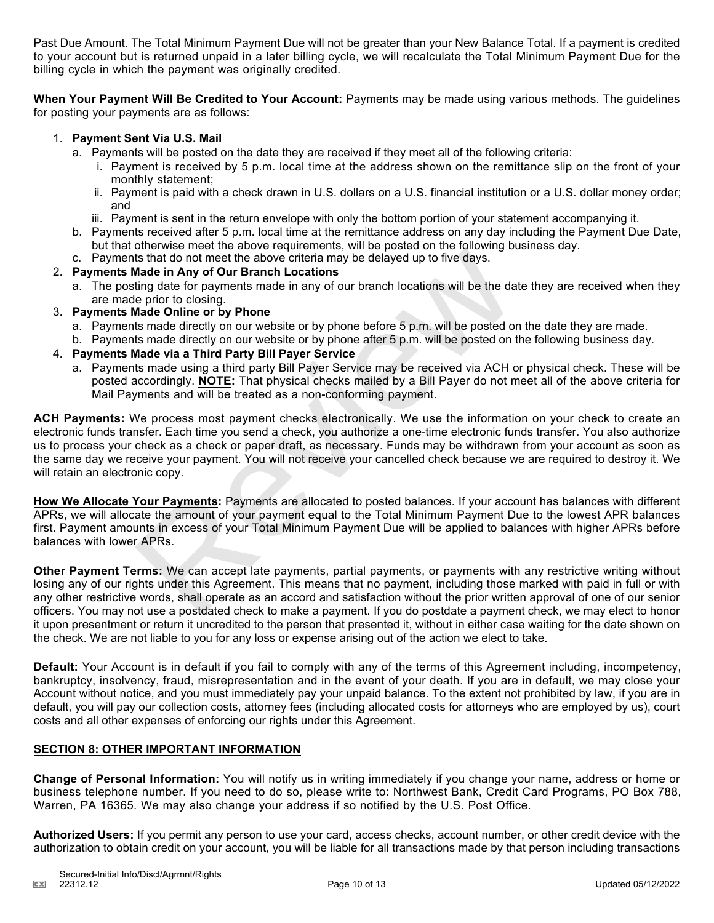Past Due Amount. The Total Minimum Payment Due will not be greater than your New Balance Total. If a payment is credited to your account but is returned unpaid in a later billing cycle, we will recalculate the Total Minimum Payment Due for the billing cycle in which the payment was originally credited.

**When Your Payment Will Be Credited to Your Account:** Payments may be made using various methods. The guidelines for posting your payments are as follows:

## 1. **Payment Sent Via U.S. Mail**

- a. Payments will be posted on the date they are received if they meet all of the following criteria:
	- i. Payment is received by 5 p.m. local time at the address shown on the remittance slip on the front of your monthly statement;
	- ii. Payment is paid with a check drawn in U.S. dollars on a U.S. financial institution or a U.S. dollar money order; and
	- iii. Payment is sent in the return envelope with only the bottom portion of your statement accompanying it.
- b. Payments received after 5 p.m. local time at the remittance address on any day including the Payment Due Date, but that otherwise meet the above requirements, will be posted on the following business day.
- c. Payments that do not meet the above criteria may be delayed up to five days.

## 2. **Payments Made in Any of Our Branch Locations**

- a. The posting date for payments made in any of our branch locations will be the date they are received when they are made prior to closing.
- 3. **Payments Made Online or by Phone**
	- a. Payments made directly on our website or by phone before 5 p.m. will be posted on the date they are made.
	- b. Payments made directly on our website or by phone after 5 p.m. will be posted on the following business day.

## 4. **Payments Made via a Third Party Bill Payer Service**

a. Payments made using a third party Bill Payer Service may be received via ACH or physical check. These will be posted accordingly. **NOTE:** That physical checks mailed by a Bill Payer do not meet all of the above criteria for Mail Payments and will be treated as a non-conforming payment.

**ACH Payments:** We process most payment checks electronically. We use the information on your check to create an electronic funds transfer. Each time you send a check, you authorize a one-time electronic funds transfer. You also authorize us to process your check as a check or paper draft, as necessary. Funds may be withdrawn from your account as soon as the same day we receive your payment. You will not receive your cancelled check because we are required to destroy it. We will retain an electronic copy. the that do not meet the above criteria may be delayed up to five days.<br>
Wade in Any of Our Branch Locations<br>
Wade in Any of Our Branch locations will be the day<br>
sting date for payments made in any of our branch locations

**How We Allocate Your Payments:** Payments are allocated to posted balances. If your account has balances with different APRs, we will allocate the amount of your payment equal to the Total Minimum Payment Due to the lowest APR balances first. Payment amounts in excess of your Total Minimum Payment Due will be applied to balances with higher APRs before balances with lower APRs.

**Other Payment Terms:** We can accept late payments, partial payments, or payments with any restrictive writing without losing any of our rights under this Agreement. This means that no payment, including those marked with paid in full or with any other restrictive words, shall operate as an accord and satisfaction without the prior written approval of one of our senior officers. You may not use a postdated check to make a payment. If you do postdate a payment check, we may elect to honor it upon presentment or return it uncredited to the person that presented it, without in either case waiting for the date shown on the check. We are not liable to you for any loss or expense arising out of the action we elect to take.

**Default:** Your Account is in default if you fail to comply with any of the terms of this Agreement including, incompetency, bankruptcy, insolvency, fraud, misrepresentation and in the event of your death. If you are in default, we may close your Account without notice, and you must immediately pay your unpaid balance. To the extent not prohibited by law, if you are in default, you will pay our collection costs, attorney fees (including allocated costs for attorneys who are employed by us), court costs and all other expenses of enforcing our rights under this Agreement.

## **SECTION 8: OTHER IMPORTANT INFORMATION**

**Change of Personal Information:** You will notify us in writing immediately if you change your name, address or home or business telephone number. If you need to do so, please write to: Northwest Bank, Credit Card Programs, PO Box 788, Warren, PA 16365. We may also change your address if so notified by the U.S. Post Office.

**Authorized Users:** If you permit any person to use your card, access checks, account number, or other credit device with the authorization to obtain credit on your account, you will be liable for all transactions made by that person including transactions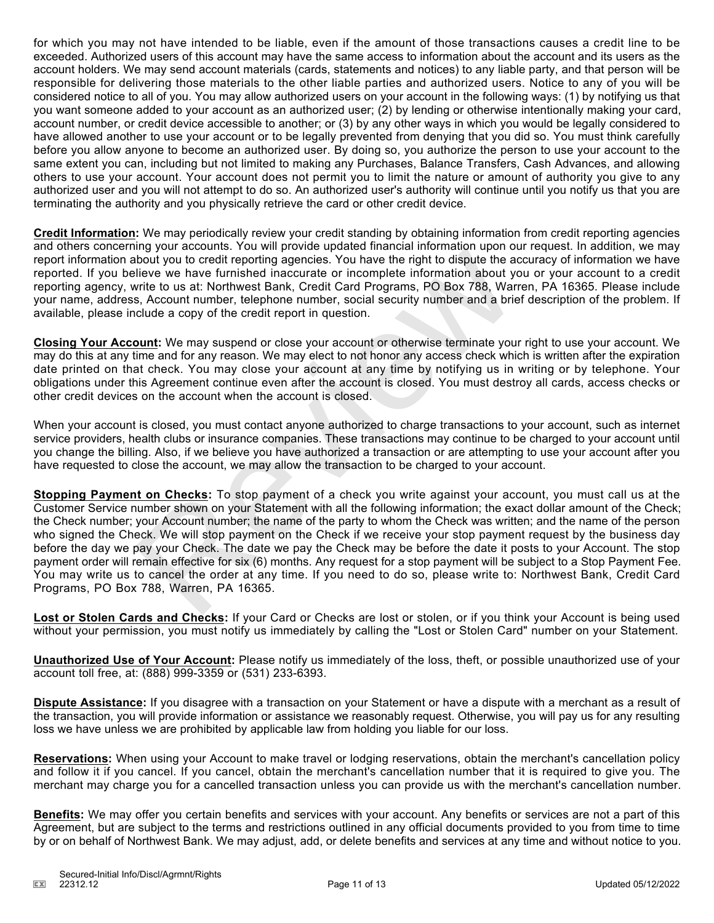for which you may not have intended to be liable, even if the amount of those transactions causes a credit line to be exceeded. Authorized users of this account may have the same access to information about the account and its users as the account holders. We may send account materials (cards, statements and notices) to any liable party, and that person will be responsible for delivering those materials to the other liable parties and authorized users. Notice to any of you will be considered notice to all of you. You may allow authorized users on your account in the following ways: (1) by notifying us that you want someone added to your account as an authorized user; (2) by lending or otherwise intentionally making your card, account number, or credit device accessible to another; or (3) by any other ways in which you would be legally considered to have allowed another to use your account or to be legally prevented from denying that you did so. You must think carefully before you allow anyone to become an authorized user. By doing so, you authorize the person to use your account to the same extent you can, including but not limited to making any Purchases, Balance Transfers, Cash Advances, and allowing others to use your account. Your account does not permit you to limit the nature or amount of authority you give to any authorized user and you will not attempt to do so. An authorized user's authority will continue until you notify us that you are terminating the authority and you physically retrieve the card or other credit device.

**Credit Information:** We may periodically review your credit standing by obtaining information from credit reporting agencies and others concerning your accounts. You will provide updated financial information upon our request. In addition, we may report information about you to credit reporting agencies. You have the right to dispute the accuracy of information we have reported. If you believe we have furnished inaccurate or incomplete information about you or your account to a credit reporting agency, write to us at: Northwest Bank, Credit Card Programs, PO Box 788, Warren, PA 16365. Please include your name, address, Account number, telephone number, social security number and a brief description of the problem. If available, please include a copy of the credit report in question.

**Closing Your Account:** We may suspend or close your account or otherwise terminate your right to use your account. We may do this at any time and for any reason. We may elect to not honor any access check which is written after the expiration date printed on that check. You may close your account at any time by notifying us in writing or by telephone. Your obligations under this Agreement continue even after the account is closed. You must destroy all cards, access checks or other credit devices on the account when the account is closed.

When your account is closed, you must contact anyone authorized to charge transactions to your account, such as internet service providers, health clubs or insurance companies. These transactions may continue to be charged to your account until you change the billing. Also, if we believe you have authorized a transaction or are attempting to use your account after you have requested to close the account, we may allow the transaction to be charged to your account.

**Stopping Payment on Checks:** To stop payment of a check you write against your account, you must call us at the Customer Service number shown on your Statement with all the following information; the exact dollar amount of the Check; the Check number; your Account number; the name of the party to whom the Check was written; and the name of the person who signed the Check. We will stop payment on the Check if we receive your stop payment request by the business day before the day we pay your Check. The date we pay the Check may be before the date it posts to your Account. The stop payment order will remain effective for six (6) months. Any request for a stop payment will be subject to a Stop Payment Fee. You may write us to cancel the order at any time. If you need to do so, please write to: Northwest Bank, Credit Card Programs, PO Box 788, Warren, PA 16365. my you coordict reporting agencies. You have the right to dispute the a<br>labout you to credit reporting agencies. You have the right to dispute the a<br>lielive we have furnished inaccurate or incomplete information about y<br>wr

**Lost or Stolen Cards and Checks:** If your Card or Checks are lost or stolen, or if you think your Account is being used without your permission, you must notify us immediately by calling the "Lost or Stolen Card" number on your Statement.

**Unauthorized Use of Your Account:** Please notify us immediately of the loss, theft, or possible unauthorized use of your account toll free, at: (888) 999-3359 or (531) 233-6393.

**Dispute Assistance:** If you disagree with a transaction on your Statement or have a dispute with a merchant as a result of the transaction, you will provide information or assistance we reasonably request. Otherwise, you will pay us for any resulting loss we have unless we are prohibited by applicable law from holding you liable for our loss.

**Reservations:** When using your Account to make travel or lodging reservations, obtain the merchant's cancellation policy and follow it if you cancel. If you cancel, obtain the merchant's cancellation number that it is required to give you. The merchant may charge you for a cancelled transaction unless you can provide us with the merchant's cancellation number.

**Benefits:** We may offer you certain benefits and services with your account. Any benefits or services are not a part of this Agreement, but are subject to the terms and restrictions outlined in any official documents provided to you from time to time by or on behalf of Northwest Bank. We may adjust, add, or delete benefits and services at any time and without notice to you.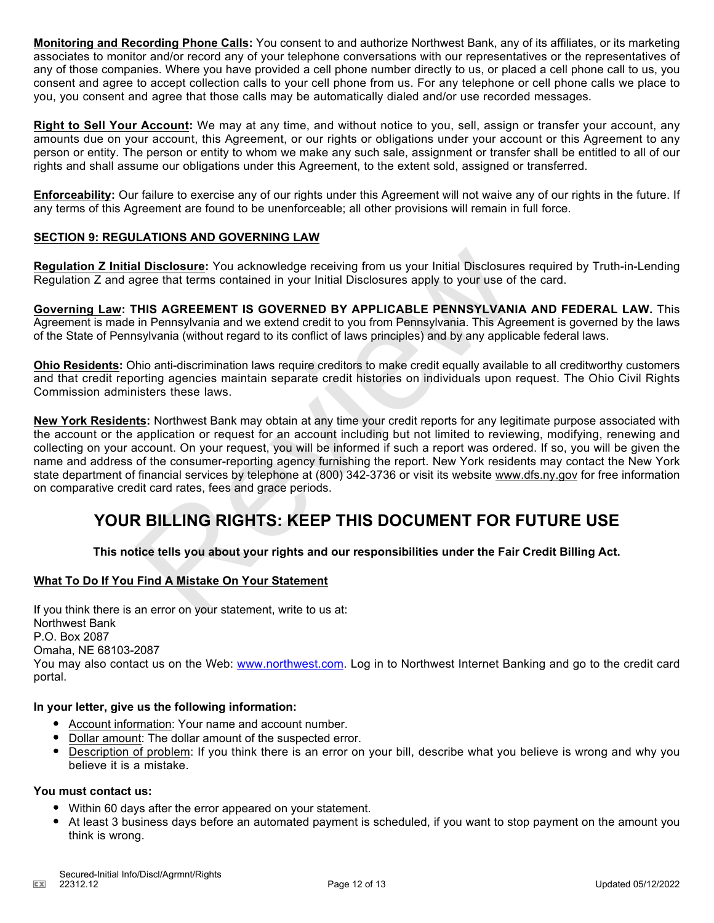**Monitoring and Recording Phone Calls:** You consent to and authorize Northwest Bank, any of its affiliates, or its marketing associates to monitor and/or record any of your telephone conversations with our representatives or the representatives of any of those companies. Where you have provided a cell phone number directly to us, or placed a cell phone call to us, you consent and agree to accept collection calls to your cell phone from us. For any telephone or cell phone calls we place to you, you consent and agree that those calls may be automatically dialed and/or use recorded messages.

**Right to Sell Your Account:** We may at any time, and without notice to you, sell, assign or transfer your account, any amounts due on your account, this Agreement, or our rights or obligations under your account or this Agreement to any person or entity. The person or entity to whom we make any such sale, assignment or transfer shall be entitled to all of our rights and shall assume our obligations under this Agreement, to the extent sold, assigned or transferred.

**Enforceability:** Our failure to exercise any of our rights under this Agreement will not waive any of our rights in the future. If any terms of this Agreement are found to be unenforceable; all other provisions will remain in full force.

## **SECTION 9: REGULATIONS AND GOVERNING LAW**

**Regulation Z Initial Disclosure:** You acknowledge receiving from us your Initial Disclosures required by Truth-in-Lending Regulation Z and agree that terms contained in your Initial Disclosures apply to your use of the card.

**Governing Law: THIS AGREEMENT IS GOVERNED BY APPLICABLE PENNSYLVANIA AND FEDERAL LAW.** This Agreement is made in Pennsylvania and we extend credit to you from Pennsylvania. This Agreement is governed by the laws of the State of Pennsylvania (without regard to its conflict of laws principles) and by any applicable federal laws.

**Ohio Residents:** Ohio anti-discrimination laws require creditors to make credit equally available to all creditworthy customers and that credit reporting agencies maintain separate credit histories on individuals upon request. The Ohio Civil Rights Commission administers these laws.

**New York Residents:** Northwest Bank may obtain at any time your credit reports for any legitimate purpose associated with the account or the application or request for an account including but not limited to reviewing, modifying, renewing and collecting on your account. On your request, you will be informed if such a report was ordered. If so, you will be given the name and address of the consumer-reporting agency furnishing the report. New York residents may contact the New York state department of financial services by telephone at (800) 342-3736 or visit its website www.dfs.ny.gov for free information on comparative credit card rates, fees and grace periods. al Disclosure: You acknowledge receiving from us your Initial Disclosure<br>argree that terms contained in your Initial Disclosures apply to your use of<br>THIS AGREEMENT IS GOVERNED BY APPLICABLE PENNSYLVANI<br>in Pennsylvania and

## **YOUR BILLING RIGHTS: KEEP THIS DOCUMENT FOR FUTURE USE**

## **This notice tells you about your rights and our responsibilities under the Fair Credit Billing Act.**

## **What To Do If You Find A Mistake On Your Statement**

If you think there is an error on your statement, write to us at: Northwest Bank P.O. Box 2087 Omaha, NE 68103-2087 You may also contact us on the Web: www.northwest.com. Log in to Northwest Internet Banking and go to the credit card portal.

### **In your letter, give us the following information:**

- Account information: Your name and account number.
- Dollar amount: The dollar amount of the suspected error.
- Description of problem: If you think there is an error on your bill, describe what you believe is wrong and why you believe it is a mistake.

## **You must contact us:**

- Within 60 days after the error appeared on your statement.
- At least 3 business days before an automated payment is scheduled, if you want to stop payment on the amount you think is wrong.